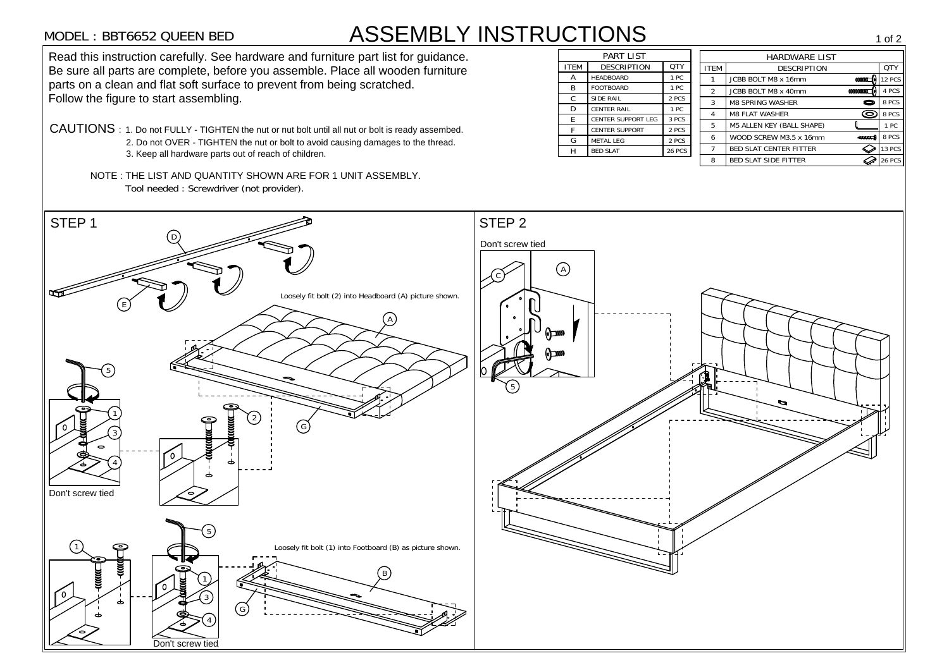## MODEL : BBT6652 QUEEN BED ASSEMBLY INSTRUCTIONS

10DEL: BBT6652 QUEEN BED<br>
STEEM ASSEMBLY INSTRUCTIONS<br>
Sead this instruction carefully. See hardware and funtiture part list for guidance.<br>
Seasure and parts are complete, before you assemble. Place all wooden furthure<br> **EXECUTE AND SURVEY AND SECRIPTION CONSULT AND SECRIPTION AND CONSULTED FITTEM THEM EXECUTED BOLT MS x 16mm CONSULTED CONSULTED A** PCS **CONSULTED A** PCS **EXECUTED A CONSULTED A CONSULTABLE FITTER CENTER SUPPORT** TRE SET SURFOURD ASSEMBLY<br>Bead this instruction carefully. See hardware and furniture part list for guidance.<br>Be sure all parts are complete, before you assemble. Place all wooden furniture MODEL: BBT6652 QUEEN BED<br>Read this instruction carefully. See hardware and furniture part list for guidance. 1 of 2<br>
HARDWARE LIST<br>
EM
DESCRIPTION
DESCRIPTION
THE ROLT M8 x 16mm
DESCRIPTION
THE ROLT M8 x 16mm
DESCRIPTION HARDWARE LIST<br>
EM DESCRIPTION QTY<br>
1 JCBB BOLT M8 x 16mm<br>
2 JCBB BOLT M8 x 40mm **4 PCS** e sure all parts are complete, before you assemble. Place all woode<br>parts on a clean and flat soft surface to prevent from being scratched. EM DESCRIPTION<br>
1 JCBB BOLT M8 x 16mm<br>
2 JCBB BOLT M8 x 40mm **(MMMC)** 12 PCS<br>
3 M8 SPRING WASHER 8 PCS parts on a clean and flat soft surface to prevent from being scratched.<br>Follow the figure to start assembling. 4 M8 FLAT WASHER 8 PCS 8 PCS FRING WASHER MEXICULAR MANAGEMENT ASSESS MANAGEMENT WASHER SALES MANAGEMENT AND RELATE WASHER SALES MANAGEMENT AND RELATE ON A PCS MANAGEMENT AND RELATE ON A POST OF MANAGEMENT AND RELATE ON A POST OF MANAGEMENT AND RELATE 3 M8 SPRING WASHER<br>
4 M8 FLAT WASHER<br>
5 M5 ALLEN KEY (BALL SHAPE) CAUTIONS : 1. Do not FULLY - TIGHTEN the nut or nut bolt until all nut or bolt is ready assembed. E CENTER SUPPORT LEG 3 PCS<br>
F CENTER SUPPORT 2 PCS<br>
G METAL LEG 2 PCS<br>
H BED SLAT 28 PCS <sup>4</sup> M8 FLAT WASHER<br>
5 M5 ALLEN KEY (BALL SHAPE)<br>
6 WOOD SCREW M3.5 x 16mm<br>
7 BED SLAT CENTER FITTER<br>
7 BED SLAT CENTER FITTER  $S$  : 1. Do not FULLY - TIGHTEN the nut or nut bolt until all nut or bolt is ready assembe<br>2. Do not OVER - TIGHTEN the nut or bolt to avoid causing damages to the thread. 2. Do not OVER - TIGHTEN the nut or bolt to avoid causing damages to the thread.<br>3. Keep all hardware parts out of reach of children. NOTE : THE LIST AND QUANTITY SHOWN ARE FOR 1 UNIT ASSEMBLY. Tool needed : Screwdriver (not provider).  $\frac{1}{D}$ Don't screw tied Don't screw tied  $\overline{A}$  $rac{1}{c}$  $\Omega$ E<br>E<br>E Loosely fit bolt (2) into Headboard (A) picture shown.<br>
(E)<br>
Contracted Control of the control of the control of the control of the control of the control of the control of the control of the control of the control of the ird<br>A <sup>-</sup>5  $\frac{1}{5}$  $\frac{1}{1}$  $\frac{1}{2}$ G<br>G<br>G  $\frac{1}{3}$  $\frac{3}{4}$  $\frac{1}{1}$ 5Loosely fit bolt (1) into Footboard (B) as picture shown.  $\frac{d}{B}$  $\frac{1}{1}$  $\frac{1}{3}$ ີ້<br>G